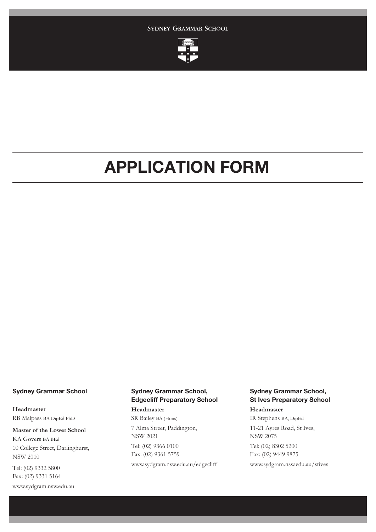SYDNEY GRAMMAR SCHOOL



# APPLICATION FORM

# **Sydney Grammar School**

**Headmaster** RB Malpass BA DipEd PhD

**Master of the Lower School** KA Govers BA BEd 10 College Street, Darlinghurst, NSW 2010

Tel: (02) 9332 5800 Fax: (02) 9331 5164 www.sydgram.nsw.edu.au

# **Sydney Grammar School, Edgecliff Preparatory School**

**Headmaster** SR Bailey BA (Hons) 7 Alma Street, Paddington, NSW 2021 Tel: (02) 9366 0100 Fax: (02) 9361 5759 www.sydgram.nsw.edu.au/edgecliff

# **Sydney Grammar School, St Ives Preparatory School**

**Headmaster**

IR Stephens BA, DipEd 11-21 Ayres Road, St Ives, NSW 2075 Tel: (02) 8302 5200 Fax: (02) 9449 9875

www.sydgram.nsw.edu.au/stives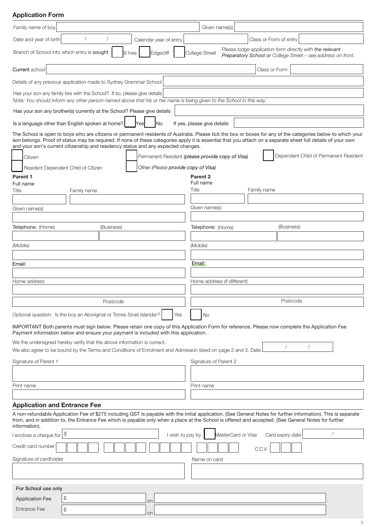# Application Form

| Family name of boy                                                                                                                                                                                                                                                                                                                                                                                               |               |  |            |    |                        |                                     |               | Given name(s)               |                                                  |             |            |               |                        |  |  |                                       |
|------------------------------------------------------------------------------------------------------------------------------------------------------------------------------------------------------------------------------------------------------------------------------------------------------------------------------------------------------------------------------------------------------------------|---------------|--|------------|----|------------------------|-------------------------------------|---------------|-----------------------------|--------------------------------------------------|-------------|------------|---------------|------------------------|--|--|---------------------------------------|
| Date and year of birth                                                                                                                                                                                                                                                                                                                                                                                           |               |  |            |    | Calendar year of entry |                                     |               |                             |                                                  |             |            |               | Class or Form of entry |  |  |                                       |
| Please lodge application form directly with the relevant<br>Branch of School into which entry is sought<br>Edgecliff<br>College Street<br>St Ives<br>Preparatory School or College Street - see address on front.                                                                                                                                                                                                |               |  |            |    |                        |                                     |               |                             |                                                  |             |            |               |                        |  |  |                                       |
| Current school                                                                                                                                                                                                                                                                                                                                                                                                   |               |  |            |    |                        |                                     |               |                             |                                                  |             |            | Class or Form |                        |  |  |                                       |
| Details of any previous application made to Sydney Grammar School                                                                                                                                                                                                                                                                                                                                                |               |  |            |    |                        |                                     |               |                             |                                                  |             |            |               |                        |  |  |                                       |
| Has your son any family ties with the School? If so, please give details                                                                                                                                                                                                                                                                                                                                         |               |  |            |    |                        |                                     |               |                             |                                                  |             |            |               |                        |  |  |                                       |
| Note: You should inform any other person named above that his or her name is being given to the School in this way.                                                                                                                                                                                                                                                                                              |               |  |            |    |                        |                                     |               |                             |                                                  |             |            |               |                        |  |  |                                       |
| Has your son any brother(s) currently at the School? Please give details                                                                                                                                                                                                                                                                                                                                         |               |  |            |    |                        |                                     |               |                             |                                                  |             |            |               |                        |  |  |                                       |
| Is a language other than English spoken at home?                                                                                                                                                                                                                                                                                                                                                                 |               |  |            |    | No                     |                                     |               | If yes, please give details |                                                  |             |            |               |                        |  |  |                                       |
| The School is open to boys who are citizens or permanent residents of Australia. Please tick the box or boxes for any of the categories below to which your<br>son belongs. Proof of status may be required. If none of these categories apply it is essential that you attach on a separate sheet full details of your own<br>and your son's current citizenship and residency status and any expected changes. |               |  |            |    |                        |                                     |               |                             |                                                  |             |            |               |                        |  |  |                                       |
| Citizen                                                                                                                                                                                                                                                                                                                                                                                                          |               |  |            |    |                        |                                     |               |                             | Permanent Resident (please provide copy of Visa) |             |            |               |                        |  |  | Dependent Child of Permanent Resident |
| Resident Dependent Child of Citizen                                                                                                                                                                                                                                                                                                                                                                              |               |  |            |    |                        | Other (Please provide copy of Visa) |               |                             |                                                  |             |            |               |                        |  |  |                                       |
| Parent 1                                                                                                                                                                                                                                                                                                                                                                                                         |               |  |            |    |                        |                                     |               | Parent 2                    |                                                  |             |            |               |                        |  |  |                                       |
| Full name<br>Title                                                                                                                                                                                                                                                                                                                                                                                               |               |  |            |    |                        | Title                               | Full name     |                             |                                                  | Family name |            |               |                        |  |  |                                       |
|                                                                                                                                                                                                                                                                                                                                                                                                                  |               |  |            |    |                        |                                     |               |                             |                                                  |             |            |               |                        |  |  |                                       |
| Given name(s)                                                                                                                                                                                                                                                                                                                                                                                                    |               |  |            |    |                        |                                     | Given name(s) |                             |                                                  |             |            |               |                        |  |  |                                       |
|                                                                                                                                                                                                                                                                                                                                                                                                                  |               |  |            |    |                        |                                     |               |                             |                                                  |             |            |               |                        |  |  |                                       |
| Telephone: (Home)                                                                                                                                                                                                                                                                                                                                                                                                |               |  | (Business) |    |                        |                                     |               | Telephone: (Home)           |                                                  |             | (Business) |               |                        |  |  |                                       |
|                                                                                                                                                                                                                                                                                                                                                                                                                  |               |  |            |    |                        |                                     |               |                             |                                                  |             |            |               |                        |  |  |                                       |
| (Mobile)                                                                                                                                                                                                                                                                                                                                                                                                         |               |  |            |    |                        |                                     | (Mobile)      |                             |                                                  |             |            |               |                        |  |  |                                       |
| Email:                                                                                                                                                                                                                                                                                                                                                                                                           |               |  |            |    |                        |                                     | Email:        |                             |                                                  |             |            |               |                        |  |  |                                       |
|                                                                                                                                                                                                                                                                                                                                                                                                                  |               |  |            |    |                        |                                     |               |                             |                                                  |             |            |               |                        |  |  |                                       |
| Home address                                                                                                                                                                                                                                                                                                                                                                                                     |               |  |            |    |                        |                                     |               |                             | Home address (if different)                      |             |            |               |                        |  |  |                                       |
| Postcode                                                                                                                                                                                                                                                                                                                                                                                                         |               |  |            |    |                        | Postcode                            |               |                             |                                                  |             |            |               |                        |  |  |                                       |
| Optional question: Is the boy an Aboriginal or Torres Strait Islander?                                                                                                                                                                                                                                                                                                                                           |               |  |            |    |                        | Yes                                 |               | <b>No</b>                   |                                                  |             |            |               |                        |  |  |                                       |
| IMPORTANT Both parents must sign below. Please retain one copy of this Application Form for reference. Please now complete the Application Fee<br>Payment information below and ensure your payment is included with this application.                                                                                                                                                                           |               |  |            |    |                        |                                     |               |                             |                                                  |             |            |               |                        |  |  |                                       |
| We the undersigned hereby verify that the above information is correct.<br>We also agree to be bound by the Terms and Conditions of Enrolment and Admission listed on page 2 and 3. Date                                                                                                                                                                                                                         |               |  |            |    |                        |                                     |               |                             |                                                  |             |            |               |                        |  |  |                                       |
| Signature of Parent 1                                                                                                                                                                                                                                                                                                                                                                                            |               |  |            |    |                        | Signature of Parent 2               |               |                             |                                                  |             |            |               |                        |  |  |                                       |
|                                                                                                                                                                                                                                                                                                                                                                                                                  |               |  |            |    |                        |                                     |               |                             |                                                  |             |            |               |                        |  |  |                                       |
| Print name                                                                                                                                                                                                                                                                                                                                                                                                       |               |  |            |    |                        |                                     |               | Print name                  |                                                  |             |            |               |                        |  |  |                                       |
|                                                                                                                                                                                                                                                                                                                                                                                                                  |               |  |            |    |                        |                                     |               |                             |                                                  |             |            |               |                        |  |  |                                       |
| <b>Application and Entrance Fee</b>                                                                                                                                                                                                                                                                                                                                                                              |               |  |            |    |                        |                                     |               |                             |                                                  |             |            |               |                        |  |  |                                       |
| A non-refundable Application Fee of \$275 including GST is payable with the initial application. (See General Notes for further information). This is separate<br>from, and in addition to, the Entrance Fee which is payable only when a place at the School is offered and accepted. (See General Notes for further<br>information).                                                                           |               |  |            |    |                        |                                     |               |                             |                                                  |             |            |               |                        |  |  |                                       |
| I enclose a cheque for                                                                                                                                                                                                                                                                                                                                                                                           | \$            |  |            |    |                        | I wish to pay by                    |               |                             | MasterCard or Visa                               |             |            |               | Card expiry date       |  |  |                                       |
| Credit card number                                                                                                                                                                                                                                                                                                                                                                                               |               |  |            |    |                        |                                     |               |                             |                                                  |             | CCV        |               |                        |  |  |                                       |
| Signature of cardholder                                                                                                                                                                                                                                                                                                                                                                                          |               |  |            |    |                        |                                     |               | Name on card                |                                                  |             |            |               |                        |  |  |                                       |
|                                                                                                                                                                                                                                                                                                                                                                                                                  |               |  |            |    |                        |                                     |               |                             |                                                  |             |            |               |                        |  |  |                                       |
| For School use only                                                                                                                                                                                                                                                                                                                                                                                              |               |  |            |    |                        |                                     |               |                             |                                                  |             |            |               |                        |  |  |                                       |
| <b>Application Fee</b>                                                                                                                                                                                                                                                                                                                                                                                           | \$            |  |            |    |                        |                                     |               |                             |                                                  |             |            |               |                        |  |  |                                       |
| <b>Entrance Fee</b>                                                                                                                                                                                                                                                                                                                                                                                              | $\frac{1}{2}$ |  |            | on |                        |                                     |               |                             |                                                  |             |            |               |                        |  |  |                                       |
|                                                                                                                                                                                                                                                                                                                                                                                                                  |               |  |            | on |                        |                                     |               |                             |                                                  |             |            |               |                        |  |  |                                       |

1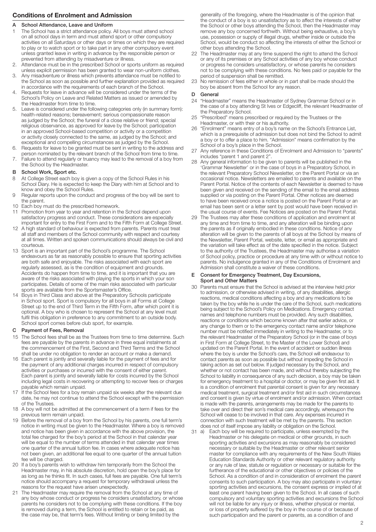# **Conditions of Enrolment and Admission**

# A School Attendance, Leave and Uniform

- The School has a strict attendance policy. All boys must attend school on all school days in term and must attend sport or other compulsory activities on all Saturdays or other days or times on which they are required to play or to watch sport or to take part in any other compulsory event unless granted leave in writing in advance by the responsible person or prevented from attending by misadventure or illness.
- 2. Attendance must be in the prescribed School or sports uniform as required unless explicit permission has been granted to wear non-uniform clothes.
- 3. Any misadventure or illness which prevents attendance must be notified to the School as soon as possible and further explanation provided as required in accordance with the requirements of each branch of the School.
- 4. Requests for leave in advance will be considered under the terms of the School's Policy on Leave and Related Matters as issued or amended by the Headmaster from time to time.
- 5. Leave is considered under the following categories only (in summary form): health-related reasons; bereavement; serious compassionate reason as judged by the School; the funeral of a close relative or friend; special religious observance, as approved for leave by the School; participation in an approved School-based competition or activity or a competition or activity closely connected to the same, as judged by the School; and exceptional and compelling circumstances as judged by the School.
- 6. Requests for leave to be granted must be sent in writing to the address and person nominated by the relevant branch of the School from time to time.
- 7. Failure to attend regularly or truancy may lead to the removal of a boy from the School by the Headmaster.

# B School Work, Sport etc.

- 8 At College Street each boy is given a copy of the School Rules in his School Diary. He is expected to keep the Diary with him at School and to know and obey the School Rules.
- 9 Regular reports upon the conduct and progress of the boy will be sent to the parent.
- 10 Each boy must do the prescribed homework.
- 11 Promotion from year to year and retention in the School depend upon satisfactory progress and conduct. These considerations are especially important for entry to the First Form and to the Fifth Form at College Street.
- 12 A high standard of behaviour is expected from parents. Parents must treat all staff and members of the School community with respect and courtesy at all times. Written and spoken communications should always be civil and courteous.
- 13 Sport is an important part of the School's programme. The School endeavours as far as reasonably possible to ensure that sporting activities are both safe and enjoyable. The risks associated with each sport are regularly assessed, as is the condition of equipment and grounds. Accidents do happen from time to time, and it is important that you are aware of the risks associated with playing the sports in which your son participates. Details of some of the main risks associated with particular sports are available from the Sportsmaster's Office.
- 14 Boys in Third Class and above at the Preparatory Schools participate in School sport. Sport is compulsory for all boys in all Forms at College Street up to the end of Third Term in the Fifth Form, after which point it is optional. A boy who is chosen to represent the School at any level must fulfil this obligation in preference to any commitment to an outside body. School sport comes before club sport, for example.

# C Payment of Fees, Removal

- 15 The School fees shall be as the Trustees from time to time determine. Such fees are payable by the parents in advance in three equal instalments at the commencement of the First, Second and Third Terms and the School shall be under no obligation to render an account or make a demand.
- 16 Each parent is jointly and severally liable for the payment of fees and for the payment of any additional charges incurred in respect of compulsory activities or purchases or incurred with the consent of either parent. Each parent is jointly and severally liable for costs incurred by the School including legal costs in recovering or attempting to recover fees or charges payable which remain unpaid.
- 17 If the School fees for a boy remain unpaid six weeks after the relevant due date, he may not continue to attend the School except with the permission of the Trustees.
- 18 A boy will not be admitted at the commencement of a term if fees for the previous term remain unpaid.
- 19 Before the removal of a boy from the School by his parents, one full term's notice in writing must be given to the Headmaster. Where a boy is removed and notice has been given in accordance with the above provision, the total fee charged for the boy's period at the School in that calendar year will be equal to the number of terms attended in that calendar year times one quarter of the annual tuition fee. In cases where adequate notice has not been given, an additional fee equal to one quarter of the annual tuition fee will be charged.
- 20 If a boy's parents wish to withdraw him temporarily from the School the Headmaster may, in his absolute discretion, hold open the boy's place for as long as he thinks fit. In such cases, full fees are payable. One full term's notice should accompany a request for temporary withdrawal unless the reasons for the request have arisen unexpectedly.
- 21 The Headmaster may require the removal from the School at any time of any boy whose conduct or progress he considers unsatisfactory, or whose parents he considers not to be complying with these conditions. If the boy is removed during a term, the School is entitled to retain or be paid, as the case may be, that term's fees. Without limiting or being limited by the

generality of the foregoing, where the Headmaster is of the opinion that the conduct of a boy is so unsatisfactory as to affect the interests of either the School or other boys attending the School, then the Headmaster may remove any boy concerned forthwith. Without being exhaustive, a boy's use, possession or supply of illegal drugs, whether inside or outside the School, would be conduct so affecting the interests of either the School or other boys attending the School.

- 22 The Headmaster may at any time suspend the right to attend the School or any of its premises or any School activities of any boy whose conduct or progress he considers unsatisfactory, or whose parents he considers not to be complying with these conditions. No fees paid or payable for the period of suspension shall be remitted.
- 23 No remission of fees either in whole or in part shall be made should the boy be absent from the School for any reason.

# D General

- 24 "Headmaster" means the Headmaster of Sydney Grammar School or in the case of a boy attending St Ives or Edgecliff, the relevant Headmaster of the Preparatory School.
- 25 "Prescribed" means prescribed or required by the Trustees or the Headmaster, or with their or his authority.
- 26 "Enrolment" means entry of a boy's name on the School's Entrance List, which is a prerequisite of admission but does not bind the School to admit a boy or to offer a place to him. "Admission" means confirmation by the School of a boy's place in the School.
- 27 Any reference in these Conditions of Enrolment and Admission to "parents" includes "parent 1 and parent 2".
- 28 Any general information to be given to parents will be published in the 'Grammar Newsletter' or in the case of boys in a Preparatory School, in the relevant Preparatory School Newsletter, on the Parent Portal or via an occasional notice. Newsletters are emailed to parents and available on the Parent Portal. Notice of the contents of each Newsletter is deemed to have been given and received on the sending of the email to the email address supplied or via posting on the Parent Portal. Other notices are deemed to have been received once a notice is posted on the Parent Portal or an email has been sent or a letter sent by post would have been received in the usual course of events. Fee Notices are posted on the Parent Portal.
- 29 The Trustees may alter these conditions of application and enrolment at any time and from time to time, and any alteration will be binding upon the parents as if originally embodied in these conditions. Notice of any alteration will be given to the parents of all boys at the School by means of the Newsletter, Parent Portal, website, letter, or email as appropriate and the variation will take effect as of the date specified in the notice. Subject to the authority of the Trustees, the Headmaster may authorise a variation of School policy, practice or procedure at any time with or without notice to parents. No indulgence granted in any of the Conditions of Enrolment and Admission shall constitute a waiver of these conditions.

#### E Consent for Emergency Treatment, Day Excursions, Sport and Other Matters

- 30 Parents must ensure that the School is advised at the interview held prior to admission, or otherwise advised in writing, of any disabilities, allergic reactions, medical conditions affecting a boy and any medications to be taken by the boy while he is under the care of the School, such medications being subject to the School's Policy on Medications. Emergency contact names and telephone numbers must be provided. Any such disabilities, reactions or conditions which become known after that earlier advice, or any change to them or to the emergency contact name and/or telephone number must be notified immediately in writing to the Headmaster, or to the relevant Headmaster of the Preparatory School (or in the case of boys in First Form at College Street, to the Master of the Lower School) and updated on the Parent Portal. In the event of accident or sudden illness where the boy is under the School's care, the School will endeavour to contact parents as soon as possible but without impeding the School in taking action as set out below. If judged necessary by the School, and whether or not contact has been made, and without thereby subjecting the School to liability in consequence of any such decision, a boy may be taken for emergency treatment to a hospital or doctor, or may be given first aid. It is a condition of enrolment that parental consent is given for any necessary medical treatment, surgical treatment and/or first aid in such circumstances and consent is given by virtue of enrolment and/or admission. When contact is made with the parents, arrangements may be made for the parents to take over and direct their son's medical care accordingly, whereupon the School will cease to be involved in that care. Any expenses incurred in connection with such treatment will be met by the parents. This section does not of itself impose any liability or obligation on the School.
- Each boy will be required to participate, unless exempted by the Headmaster or his delegate on medical or other grounds, in such sporting activities and excursions as may reasonably be considered necessary or suitable by the Headmaster or other relevant senior master for compliance with any requirements of the New South Wales Education Standards Authority or other relevant regulatory authority or any rule of law, statute or regulation or necessary or suitable for the furtherance of the educational or other objectives or policies of the School. As a condition of and in consideration of enrolment the parent consents to such participation. A boy may also participate in voluntary sporting activities and excursions, the consent express or implied of at least one parent having been given to the School. In all cases of such compulsory and voluntary sporting activities and excursions the School will not be liable for any injury or illness, whether physical or mental, or loss of property suffered by the boy in the course of or because of such participation and the parent or parents, as a condition of and 31 a)